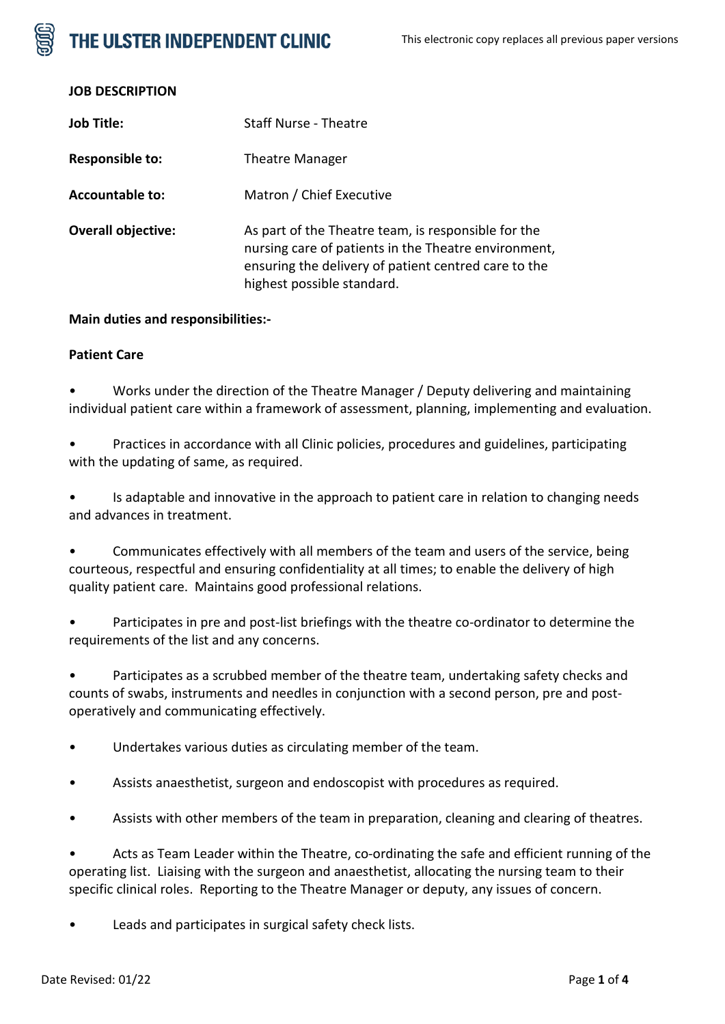# THE ULSTER INDEPENDENT CLINIC

| <b>Job Title:</b>         | Staff Nurse - Theatre                                                                                                                                                                             |
|---------------------------|---------------------------------------------------------------------------------------------------------------------------------------------------------------------------------------------------|
| Responsible to:           | <b>Theatre Manager</b>                                                                                                                                                                            |
| <b>Accountable to:</b>    | Matron / Chief Executive                                                                                                                                                                          |
| <b>Overall objective:</b> | As part of the Theatre team, is responsible for the<br>nursing care of patients in the Theatre environment,<br>ensuring the delivery of patient centred care to the<br>highest possible standard. |

### **Main duties and responsibilities:-**

### **Patient Care**

• Works under the direction of the Theatre Manager / Deputy delivering and maintaining individual patient care within a framework of assessment, planning, implementing and evaluation.

• Practices in accordance with all Clinic policies, procedures and guidelines, participating with the updating of same, as required.

• Is adaptable and innovative in the approach to patient care in relation to changing needs and advances in treatment.

• Communicates effectively with all members of the team and users of the service, being courteous, respectful and ensuring confidentiality at all times; to enable the delivery of high quality patient care. Maintains good professional relations.

Participates in pre and post-list briefings with the theatre co-ordinator to determine the requirements of the list and any concerns.

• Participates as a scrubbed member of the theatre team, undertaking safety checks and counts of swabs, instruments and needles in conjunction with a second person, pre and postoperatively and communicating effectively.

• Undertakes various duties as circulating member of the team.

- Assists anaesthetist, surgeon and endoscopist with procedures as required.
- Assists with other members of the team in preparation, cleaning and clearing of theatres.

• Acts as Team Leader within the Theatre, co-ordinating the safe and efficient running of the operating list. Liaising with the surgeon and anaesthetist, allocating the nursing team to their specific clinical roles. Reporting to the Theatre Manager or deputy, any issues of concern.

Leads and participates in surgical safety check lists.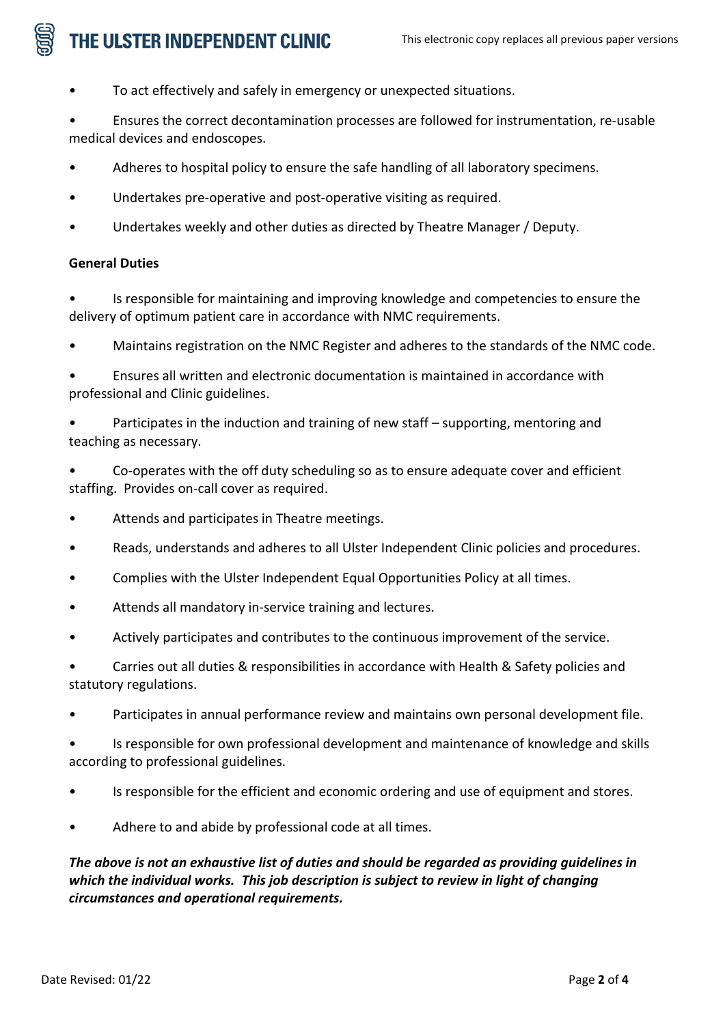# THE ULSTER INDEPENDENT CLINIC

- To act effectively and safely in emergency or unexpected situations.
- Ensures the correct decontamination processes are followed for instrumentation, re-usable medical devices and endoscopes.
- Adheres to hospital policy to ensure the safe handling of all laboratory specimens.
- Undertakes pre-operative and post-operative visiting as required.
- Undertakes weekly and other duties as directed by Theatre Manager / Deputy.

# **General Duties**

• Is responsible for maintaining and improving knowledge and competencies to ensure the delivery of optimum patient care in accordance with NMC requirements.

- Maintains registration on the NMC Register and adheres to the standards of the NMC code.
- Ensures all written and electronic documentation is maintained in accordance with professional and Clinic guidelines.
- Participates in the induction and training of new staff supporting, mentoring and teaching as necessary.
- Co-operates with the off duty scheduling so as to ensure adequate cover and efficient staffing. Provides on-call cover as required.
- Attends and participates in Theatre meetings.
- Reads, understands and adheres to all Ulster Independent Clinic policies and procedures.
- Complies with the Ulster Independent Equal Opportunities Policy at all times.
- Attends all mandatory in-service training and lectures.
- Actively participates and contributes to the continuous improvement of the service.
- Carries out all duties & responsibilities in accordance with Health & Safety policies and statutory regulations.
- Participates in annual performance review and maintains own personal development file.
- Is responsible for own professional development and maintenance of knowledge and skills according to professional guidelines.
- Is responsible for the efficient and economic ordering and use of equipment and stores.
- Adhere to and abide by professional code at all times.

*The above is not an exhaustive list of duties and should be regarded as providing guidelines in which the individual works. This job description is subject to review in light of changing circumstances and operational requirements.*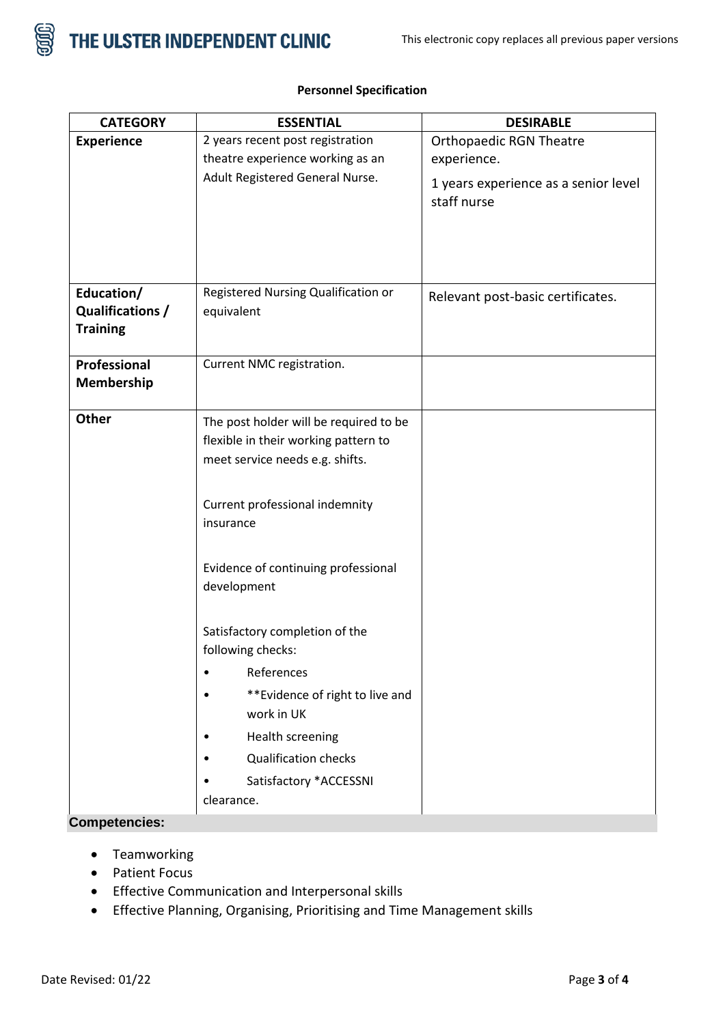

| <b>CATEGORY</b>                                   | <b>ESSENTIAL</b>                                                                                                                                                             | <b>DESIRABLE</b>                                                                                     |
|---------------------------------------------------|------------------------------------------------------------------------------------------------------------------------------------------------------------------------------|------------------------------------------------------------------------------------------------------|
| <b>Experience</b>                                 | 2 years recent post registration<br>theatre experience working as an<br>Adult Registered General Nurse.                                                                      | <b>Orthopaedic RGN Theatre</b><br>experience.<br>1 years experience as a senior level<br>staff nurse |
|                                                   |                                                                                                                                                                              |                                                                                                      |
| Education/<br>Qualifications /<br><b>Training</b> | Registered Nursing Qualification or<br>equivalent                                                                                                                            | Relevant post-basic certificates.                                                                    |
| Professional<br>Membership                        | Current NMC registration.                                                                                                                                                    |                                                                                                      |
| Other                                             | The post holder will be required to be<br>flexible in their working pattern to<br>meet service needs e.g. shifts.<br>Current professional indemnity<br>insurance             |                                                                                                      |
|                                                   | Evidence of continuing professional<br>development<br>Satisfactory completion of the                                                                                         |                                                                                                      |
|                                                   | following checks:<br>References<br>** Evidence of right to live and<br>work in UK<br>Health screening<br><b>Qualification checks</b><br>Satisfactory *ACCESSNI<br>clearance. |                                                                                                      |

## **Personnel Specification**

# **Competencies:**

- Teamworking
- Patient Focus
- Effective Communication and Interpersonal skills
- Effective Planning, Organising, Prioritising and Time Management skills